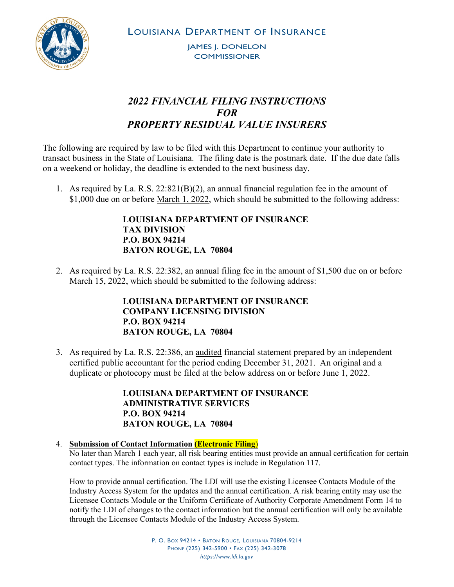

LOUISIANA DEPARTMENT OF INSURANCE

JAMES J. DONELON **COMMISSIONER** 

## *2022 FINANCIAL FILING INSTRUCTIONS FOR PROPERTY RESIDUAL VALUE INSURERS*

The following are required by law to be filed with this Department to continue your authority to transact business in the State of Louisiana. The filing date is the postmark date. If the due date falls on a weekend or holiday, the deadline is extended to the next business day.

1. As required by La. R.S.  $22:821(B)(2)$ , an annual financial regulation fee in the amount of \$1,000 due on or before March 1, 2022, which should be submitted to the following address:

> **LOUISIANA DEPARTMENT OF INSURANCE TAX DIVISION P.O. BOX 94214 BATON ROUGE, LA 70804**

2. As required by La. R.S. 22:382, an annual filing fee in the amount of \$1,500 due on or before March 15, 2022, which should be submitted to the following address:

## **LOUISIANA DEPARTMENT OF INSURANCE COMPANY LICENSING DIVISION P.O. BOX 94214 BATON ROUGE, LA 70804**

3. As required by La. R.S. 22:386, an audited financial statement prepared by an independent certified public accountant for the period ending December 31, 2021. An original and a duplicate or photocopy must be filed at the below address on or before June 1, 2022.

> **LOUISIANA DEPARTMENT OF INSURANCE ADMINISTRATIVE SERVICES P.O. BOX 94214 BATON ROUGE, LA 70804**

## 4. **Submission of Contact Information (Electronic Filing**)

No later than March 1 each year, all risk bearing entities must provide an annual certification for certain contact types. The information on contact types is include in Regulation 117.

How to provide annual certification. The LDI will use the existing Licensee Contacts Module of the Industry Access System for the updates and the annual certification. A risk bearing entity may use the Licensee Contacts Module or the Uniform Certificate of Authority Corporate Amendment Form 14 to notify the LDI of changes to the contact information but the annual certification will only be available through the Licensee Contacts Module of the Industry Access System.